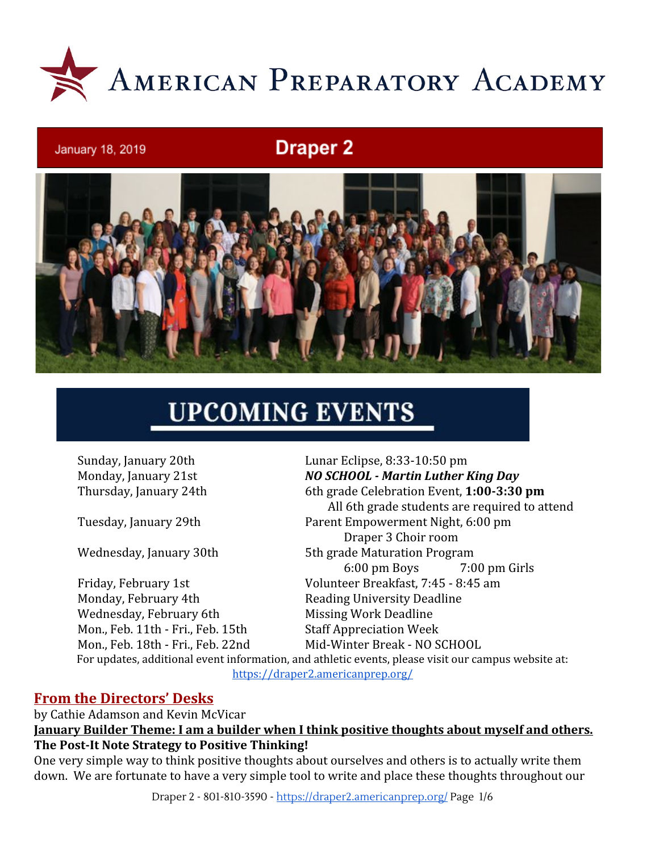

## **Draper 2**



# **UPCOMING EVENTS**

January 18, 2019

Monday, February 4th Reading University Deadline Wednesday, February 6th Missing Work Deadline Mon., Feb. 11th - Fri., Feb. 15th Staff Appreciation Week

Sunday, January 20th Lunar Eclipse, 8:33-10:50 pm Monday, January 21st *NO SCHOOL - Martin Luther King Day* Thursday, January 24th 6th grade Celebration Event, **1:00-3:30 pm** All 6th grade students are required to attend Tuesday, January 29th Parent Empowerment Night, 6:00 pm Draper 3 Choir room Wednesday, January 30th 5th grade Maturation Program 6:00 pm Boys 7:00 pm Girls Friday, February 1st Volunteer Breakfast, 7:45 - 8:45 am Mon., Feb. 18th - Fri., Feb. 22nd Mid-Winter Break - NO SCHOOL

For updates, additional event information, and athletic events, please visit our campus website at: <https://draper2.americanprep.org/>

## **From the Directors' Desks**

by Cathie Adamson and Kevin McVicar

**January Builder Theme: I am a builder when I think positive thoughts about myself and others. The Post-It Note Strategy to Positive Thinking!**

One very simple way to think positive thoughts about ourselves and others is to actually write them down. We are fortunate to have a very simple tool to write and place these thoughts throughout our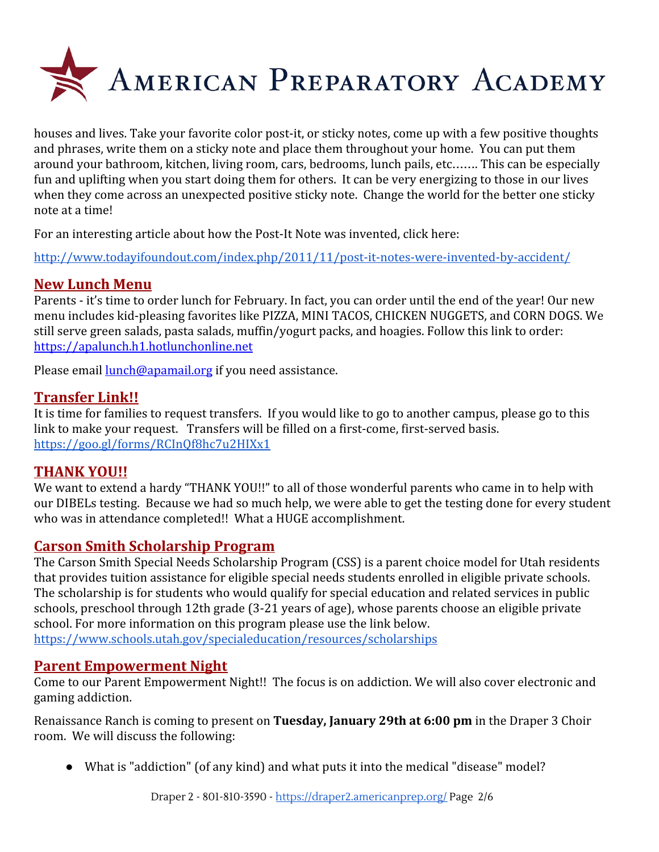

houses and lives. Take your favorite color post-it, or sticky notes, come up with a few positive thoughts and phrases, write them on a sticky note and place them throughout your home. You can put them around your bathroom, kitchen, living room, cars, bedrooms, lunch pails, etc……. This can be especially fun and uplifting when you start doing them for others. It can be very energizing to those in our lives when they come across an unexpected positive sticky note. Change the world for the better one sticky note at a time!

For an interesting article about how the Post-It Note was invented, click here:

<http://www.todayifoundout.com/index.php/2011/11/post-it-notes-were-invented-by-accident/>

## **New Lunch Menu**

Parents - it's time to order lunch for February. In fact, you can order until the end of the year! Our new menu includes kid-pleasing favorites like PIZZA, MINI TACOS, CHICKEN NUGGETS, and CORN DOGS. We still serve green salads, pasta salads, muffin/yogurt packs, and hoagies. Follow this link to order: [https://apalunch.h1.hotlunchonline.net](https://apalunch.h1.hotlunchonline.net/)

Please email **[lunch@apamail.org](mailto:lunch@apamail.org)** if you need assistance.

## **Transfer Link!!**

It is time for families to request transfers. If you would like to go to another campus, please go to this link to make your request. Transfers will be filled on a first-come, first-served basis. <https://goo.gl/forms/RCInQf8hc7u2HIXx1>

## **THANK YOU!!**

We want to extend a hardy "THANK YOU!!" to all of those wonderful parents who came in to help with our DIBELs testing. Because we had so much help, we were able to get the testing done for every student who was in attendance completed!! What a HUGE accomplishment.

## **Carson Smith Scholarship Program**

The Carson Smith Special Needs Scholarship Program (CSS) is a parent choice model for Utah residents that provides tuition assistance for eligible special needs students enrolled in eligible private schools. The scholarship is for students who would qualify for special education and related services in public schools, preschool through 12th grade (3-21 years of age), whose parents choose an eligible private school. For more information on this program please use the link below. <https://www.schools.utah.gov/specialeducation/resources/scholarships>

## **Parent Empowerment Night**

Come to our Parent Empowerment Night!! The focus is on addiction. We will also cover electronic and gaming addiction.

Renaissance Ranch is coming to present on **Tuesday, January 29th at 6:00 pm** in the Draper 3 Choir room. We will discuss the following:

● What is "addiction" (of any kind) and what puts it into the medical "disease" model?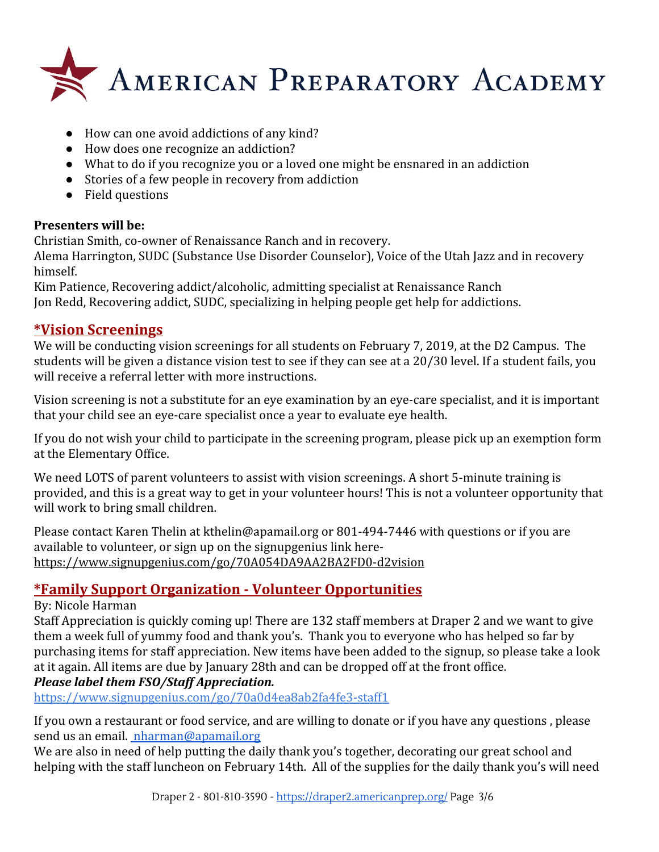

- How can one avoid addictions of any kind?
- How does one recognize an addiction?
- What to do if you recognize you or a loved one might be ensnared in an addiction
- Stories of a few people in recovery from addiction
- Field questions

#### **Presenters will be:**

Christian Smith, co-owner of Renaissance Ranch and in recovery.

Alema Harrington, SUDC (Substance Use Disorder Counselor), Voice of the Utah Jazz and in recovery himself.

Kim Patience, Recovering addict/alcoholic, admitting specialist at Renaissance Ranch Jon Redd, Recovering addict, SUDC, specializing in helping people get help for addictions.

## **\*Vision Screenings**

We will be conducting vision screenings for all students on February 7, 2019, at the D2 Campus. The students will be given a distance vision test to see if they can see at a 20/30 level. If a student fails, you will receive a referral letter with more instructions.

Vision screening is not a substitute for an eye examination by an eye-care specialist, and it is important that your child see an eye-care specialist once a year to evaluate eye health.

If you do not wish your child to participate in the screening program, please pick up an exemption form at the Elementary Office.

We need LOTS of parent volunteers to assist with vision screenings. A short 5-minute training is provided, and this is a great way to get in your volunteer hours! This is not a volunteer opportunity that will work to bring small children.

Please contact Karen Thelin at kthelin@apamail.org or 801-494-7446 with questions or if you are available to volunteer, or sign up on the signupgenius link here<https://www.signupgenius.com/go/70A054DA9AA2BA2FD0-d2vision>

## **\*Family Support Organization - Volunteer Opportunities**

#### By: Nicole Harman

Staff Appreciation is quickly coming up! There are 132 staff members at Draper 2 and we want to give them a week full of yummy food and thank you's. Thank you to everyone who has helped so far by purchasing items for staff appreciation. New items have been added to the signup, so please take a look at it again. All items are due by January 28th and can be dropped off at the front office.

#### *Please label them FSO/Staff Appreciation.*

<https://www.signupgenius.com/go/70a0d4ea8ab2fa4fe3-staff1>

If you own a restaurant or food service, and are willing to donate or if you have any questions , please send us an email. [nharman@apamail.org](mailto:nharman@apamail.org)

We are also in need of help putting the daily thank you's together, decorating our great school and helping with the staff luncheon on February 14th. All of the supplies for the daily thank you's will need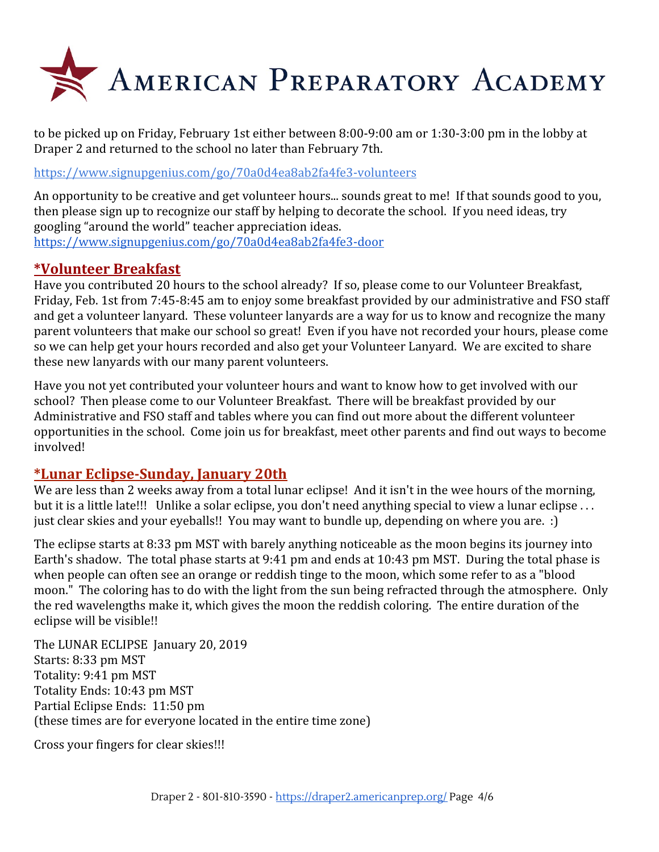

to be picked up on Friday, February 1st either between 8:00-9:00 am or 1:30-3:00 pm in the lobby at Draper 2 and returned to the school no later than February 7th.

<https://www.signupgenius.com/go/70a0d4ea8ab2fa4fe3-volunteers>

An opportunity to be creative and get volunteer hours... sounds great to me! If that sounds good to you, then please sign up to recognize our staff by helping to decorate the school. If you need ideas, try googling "around the world" teacher appreciation ideas. <https://www.signupgenius.com/go/70a0d4ea8ab2fa4fe3-door>

#### **\*Volunteer Breakfast**

Have you contributed 20 hours to the school already? If so, please come to our Volunteer Breakfast, Friday, Feb. 1st from 7:45-8:45 am to enjoy some breakfast provided by our administrative and FSO staff and get a volunteer lanyard. These volunteer lanyards are a way for us to know and recognize the many parent volunteers that make our school so great! Even if you have not recorded your hours, please come so we can help get your hours recorded and also get your Volunteer Lanyard. We are excited to share these new lanyards with our many parent volunteers.

Have you not yet contributed your volunteer hours and want to know how to get involved with our school? Then please come to our Volunteer Breakfast. There will be breakfast provided by our Administrative and FSO staff and tables where you can find out more about the different volunteer opportunities in the school. Come join us for breakfast, meet other parents and find out ways to become involved!

## **\*Lunar Eclipse-Sunday, January 20th**

We are less than 2 weeks away from a total lunar eclipse! And it isn't in the wee hours of the morning, but it is a little late!!! Unlike a solar eclipse, you don't need anything special to view a lunar eclipse . . . just clear skies and your eyeballs!! You may want to bundle up, depending on where you are. :)

The eclipse starts at 8:33 pm MST with barely anything noticeable as the moon begins its journey into Earth's shadow. The total phase starts at 9:41 pm and ends at 10:43 pm MST. During the total phase is when people can often see an orange or reddish tinge to the moon, which some refer to as a "blood moon." The coloring has to do with the light from the sun being refracted through the atmosphere. Only the red wavelengths make it, which gives the moon the reddish coloring. The entire duration of the eclipse will be visible!!

The LUNAR ECLIPSE January 20, 2019 Starts: 8:33 pm MST Totality: 9:41 pm MST Totality Ends: 10:43 pm MST Partial Eclipse Ends: 11:50 pm (these times are for everyone located in the entire time zone)

Cross your fingers for clear skies!!!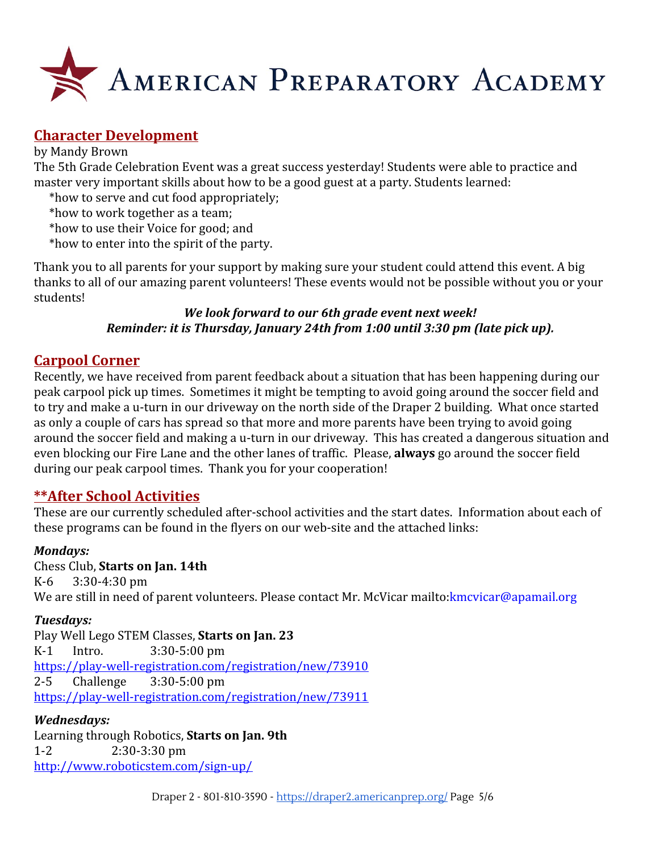

## **Character Development**

#### by Mandy Brown

The 5th Grade Celebration Event was a great success yesterday! Students were able to practice and master very important skills about how to be a good guest at a party. Students learned:

- \*how to serve and cut food appropriately;
- \*how to work together as a team;
- \*how to use their Voice for good; and
- \*how to enter into the spirit of the party.

Thank you to all parents for your support by making sure your student could attend this event. A big thanks to all of our amazing parent volunteers! These events would not be possible without you or your students!

> *We look forward to our 6th grade event next week! Reminder: it is Thursday, January 24th from 1:00 until 3:30 pm (late pick up).*

#### **Carpool Corner**

Recently, we have received from parent feedback about a situation that has been happening during our peak carpool pick up times. Sometimes it might be tempting to avoid going around the soccer field and to try and make a u-turn in our driveway on the north side of the Draper 2 building. What once started as only a couple of cars has spread so that more and more parents have been trying to avoid going around the soccer field and making a u-turn in our driveway. This has created a dangerous situation and even blocking our Fire Lane and the other lanes of traffic. Please, **always** go around the soccer field during our peak carpool times. Thank you for your cooperation!

## **\*\*After School Activities**

These are our currently scheduled after-school activities and the start dates. Information about each of these programs can be found in the flyers on our web-site and the attached links:

#### *Mondays:*

#### Chess Club, **Starts on Jan. 14th**

K-6 3:30-4:30 pm We are still in need of parent volunteers. Please contact Mr. McVicar mailto: kmcvicar@apamail.org

#### *Tuesdays:*

Play Well Lego STEM Classes, **Starts on Jan. 23** K-1 Intro. 3:30-5:00 pm <https://play-well-registration.com/registration/new/73910> 2-5 Challenge 3:30-5:00 pm <https://play-well-registration.com/registration/new/73911>

#### *Wednesdays:*

Learning through Robotics, **Starts on Jan. 9th** 1-2 2:30-3:30 pm <http://www.roboticstem.com/sign-up/>